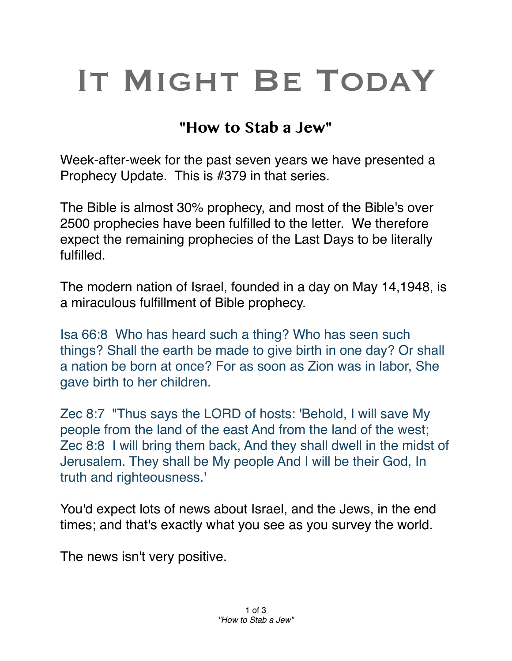# IT MIGHT BE TODAY

# **"How to Stab a Jew"**

Week-after-week for the past seven years we have presented a Prophecy Update. This is #379 in that series.

The Bible is almost 30% prophecy, and most of the Bible's over 2500 prophecies have been fulfilled to the letter. We therefore expect the remaining prophecies of the Last Days to be literally fulfilled.

The modern nation of Israel, founded in a day on May 14,1948, is a miraculous fulfillment of Bible prophecy.

Isa 66:8 Who has heard such a thing? Who has seen such things? Shall the earth be made to give birth in one day? Or shall a nation be born at once? For as soon as Zion was in labor, She gave birth to her children.

Zec 8:7 "Thus says the LORD of hosts: 'Behold, I will save My people from the land of the east And from the land of the west; Zec 8:8 I will bring them back, And they shall dwell in the midst of Jerusalem. They shall be My people And I will be their God, In truth and righteousness.'

You'd expect lots of news about Israel, and the Jews, in the end times; and that's exactly what you see as you survey the world.

The news isn't very positive.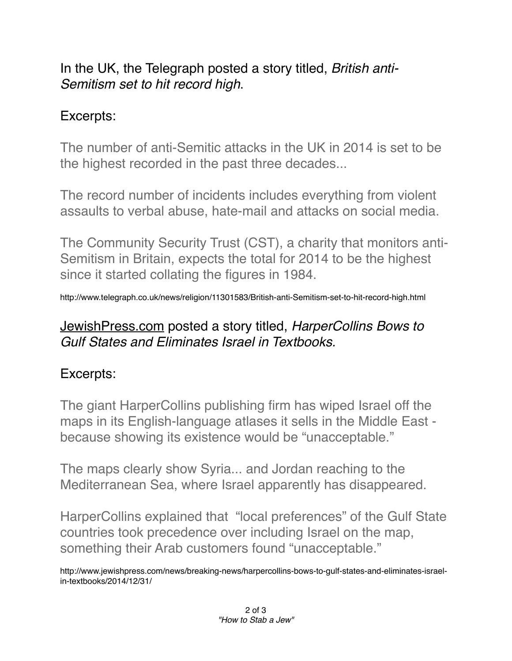In the UK, the Telegraph posted a story titled, *British anti-Semitism set to hit record high*.

#### Excerpts:

The number of anti-Semitic attacks in the UK in 2014 is set to be the highest recorded in the past three decades...

The record number of incidents includes everything from violent assaults to verbal abuse, hate-mail and attacks on social media.

The Community Security Trust (CST), a charity that monitors anti-Semitism in Britain, expects the total for 2014 to be the highest since it started collating the figures in 1984.

http://www.telegraph.co.uk/news/religion/11301583/British-anti-Semitism-set-to-hit-record-high.html

## [JewishPress.com](http://JewishPress.com) posted a story titled, *HarperCollins Bows to Gulf States and Eliminates Israel in Textbooks.*

## Excerpts:

The giant HarperCollins publishing firm has wiped Israel off the maps in its English-language atlases it sells in the Middle East because showing its existence would be "unacceptable."

The maps clearly show Syria... and Jordan reaching to the Mediterranean Sea, where Israel apparently has disappeared.

HarperCollins explained that "local preferences" of the Gulf State countries took precedence over including Israel on the map, something their Arab customers found "unacceptable."

http://www.jewishpress.com/news/breaking-news/harpercollins-bows-to-gulf-states-and-eliminates-israelin-textbooks/2014/12/31/